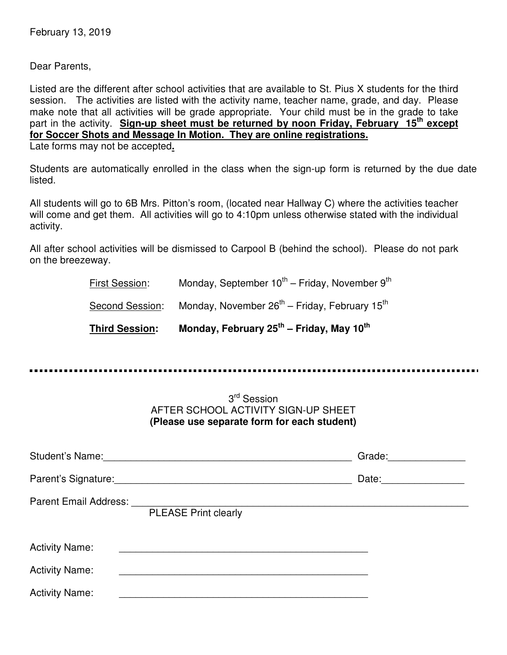Dear Parents,

Listed are the different after school activities that are available to St. Pius X students for the third session. The activities are listed with the activity name, teacher name, grade, and day. Please make note that all activities will be grade appropriate. Your child must be in the grade to take part in the activity. **Sign-up sheet must be returned by noon Friday, February 15th except for Soccer Shots and Message In Motion. They are online registrations.** Late forms may not be accepted**.**

Students are automatically enrolled in the class when the sign-up form is returned by the due date listed.

All students will go to 6B Mrs. Pitton's room, (located near Hallway C) where the activities teacher will come and get them. All activities will go to 4:10pm unless otherwise stated with the individual activity.

All after school activities will be dismissed to Carpool B (behind the school). Please do not park on the breezeway.

| <b>Third Session:</b> | Monday, February 25 <sup>th</sup> – Friday, May 10 <sup>th</sup>      |  |
|-----------------------|-----------------------------------------------------------------------|--|
| Second Session:       | Monday, November 26 <sup>th</sup> – Friday, February 15 <sup>th</sup> |  |
| First Session:        | Monday, September $10^{th}$ – Friday, November $9^{th}$               |  |

# 3<sup>rd</sup> Session AFTER SCHOOL ACTIVITY SIGN-UP SHEET **(Please use separate form for each student)**

|                       |                                                            | Grade: ________________ |
|-----------------------|------------------------------------------------------------|-------------------------|
|                       |                                                            | Date: ________________  |
|                       | <b>PLEASE Print clearly</b>                                |                         |
| <b>Activity Name:</b> | <u> 1980 - John Stein, Amerikaansk politiker (</u> † 1920) |                         |
| <b>Activity Name:</b> |                                                            |                         |
| <b>Activity Name:</b> |                                                            |                         |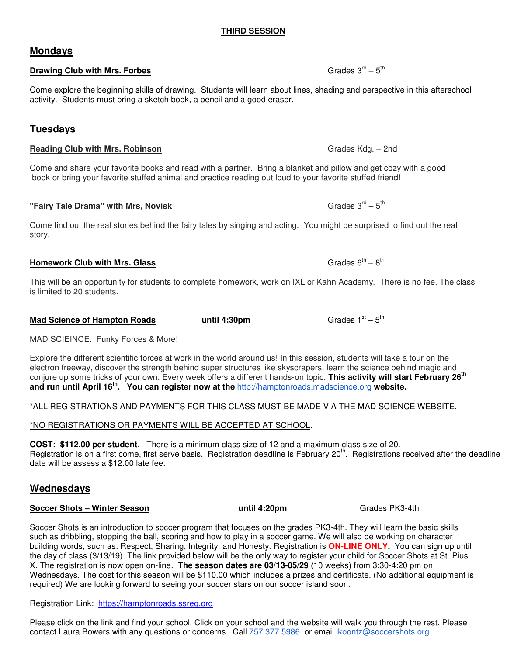# **THIRD SESSION**

**Drawing Club with Mrs. Forbes** 

Come explore the beginning skills of drawing. Students will learn about lines, shading and perspective in this afterschool activity. Students must bring a sketch book, a pencil and a good eraser.

# **Tuesdays**

#### **Reading Club with Mrs. Robinson** Grades Kdg. – 2nd Grades Kdg. – 2nd Grades Kdg. – 2nd Grades Kdg. – 2nd Grades Kdg. – 2nd Grades Kdg. – 2nd Grades Kdg. – 2nd Grades Kdg. – 2nd Grades Kdg. – 2nd Grades Kdg. – 2nd Grades K

Come and share your favorite books and read with a partner. Bring a blanket and pillow and get cozy with a good book or bring your favorite stuffed animal and practice reading out loud to your favorite stuffed friend!

# **"Fairy Tale Drama" with Mrs, Novisk** Grades  $3^{rd} - 5^{th}$

Come find out the real stories behind the fairy tales by singing and acting. You might be surprised to find out the real story.

## **Homework Club with Mrs. Glass**

This will be an opportunity for students to complete homework, work on IXL or Kahn Academy. There is no fee. The class is limited to 20 students.

MAD SCIEINCE: Funky Forces & More!

**Mad Science of Hampton Roads 6. Let until 4:30pm** 

Explore the different scientific forces at work in the world around us! In this session, students will take a tour on the electron freeway, discover the strength behind super structures like skyscrapers, learn the science behind magic and conjure up some tricks of your own. Every week offers a different hands-on topic. **This activity will start February 26th and run until April 16th. You can register now at the** http://hamptonroads.madscience.org **website.**

#### \*ALL REGISTRATIONS AND PAYMENTS FOR THIS CLASS MUST BE MADE VIA THE MAD SCIENCE WEBSITE.

## \*NO REGISTRATIONS OR PAYMENTS WILL BE ACCEPTED AT SCHOOL.

**COST: \$112.00 per student**. There is a minimum class size of 12 and a maximum class size of 20. Registration is on a first come, first serve basis. Registration deadline is February 20<sup>th</sup>. Registrations received after the deadline date will be assess a \$12.00 late fee.

# **Wednesdays**

## **Soccer Shots – Winter Season The Community of the United Season and Muniti 4:20pm and Grades PK3-4th**

Soccer Shots is an introduction to soccer program that focuses on the grades PK3-4th. They will learn the basic skills such as dribbling, stopping the ball, scoring and how to play in a soccer game. We will also be working on character building words, such as: Respect, Sharing, Integrity, and Honesty. Registration is **ON-LINE ONLY.** You can sign up until the day of class (3/13/19). The link provided below will be the only way to register your child for Soccer Shots at St. Pius X. The registration is now open on-line. **The season dates are 03/13-05/29** (10 weeks) from 3:30-4:20 pm on Wednesdays. The cost for this season will be \$110.00 which includes a prizes and certificate. (No additional equipment is required) We are looking forward to seeing your soccer stars on our soccer island soon.

Registration Link: https://hamptonroads.ssreg.org

Please click on the link and find your school. Click on your school and the website will walk you through the rest. Please contact Laura Bowers with any questions or concerns. Call 757.377.5986 or email lkoontz@soccershots.org

# **Mondays**

Grades  $3^{rd} - 5^{th}$ 

Grades  $6^{th} - 8^{th}$ 

Grades  $1<sup>st</sup> - 5<sup>th</sup>$